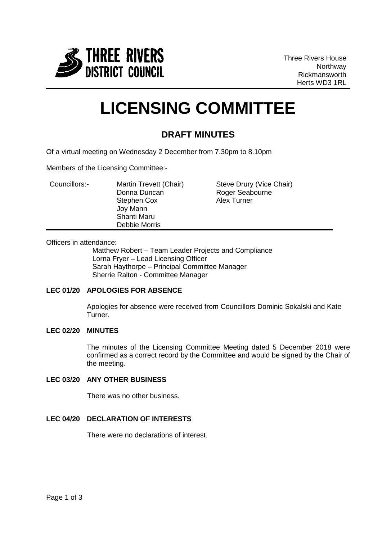

Three Rivers House Northway Rickmansworth Herts WD3 1RL

# **LICENSING COMMITTEE**

## **DRAFT MINUTES**

Of a virtual meeting on Wednesday 2 December from 7.30pm to 8.10pm

Members of the Licensing Committee:-

| Councillors:- | Martin Trevett (Chair)  | Steve Drury (Vice Chair) |
|---------------|-------------------------|--------------------------|
|               | Donna Duncan            | Roger Seabourne          |
|               | Stephen Cox<br>Joy Mann | <b>Alex Turner</b>       |
|               | Shanti Maru             |                          |
|               | Debbie Morris           |                          |

#### Officers in attendance:

Matthew Robert – Team Leader Projects and Compliance Lorna Fryer – Lead Licensing Officer Sarah Haythorpe – Principal Committee Manager Sherrie Ralton - Committee Manager

#### **LEC 01/20 APOLOGIES FOR ABSENCE**

Apologies for absence were received from Councillors Dominic Sokalski and Kate Turner.

#### **LEC 02/20 MINUTES**

The minutes of the Licensing Committee Meeting dated 5 December 2018 were confirmed as a correct record by the Committee and would be signed by the Chair of the meeting.

#### **LEC 03/20 ANY OTHER BUSINESS**

There was no other business.

### **LEC 04/20 DECLARATION OF INTERESTS**

There were no declarations of interest.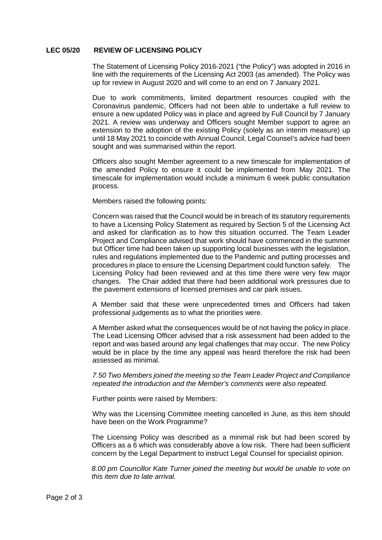#### **LEC 05/20 REVIEW OF LICENSING POLICY**

The Statement of Licensing Policy 2016-2021 ("the Policy") was adopted in 2016 in line with the requirements of the Licensing Act 2003 (as amended). The Policy was up for review in August 2020 and will come to an end on 7 January 2021.

Due to work commitments, limited department resources coupled with the Coronavirus pandemic, Officers had not been able to undertake a full review to ensure a new updated Policy was in place and agreed by Full Council by 7 January 2021. A review was underway and Officers sought Member support to agree an extension to the adoption of the existing Policy (solely as an interim measure) up until 18 May 2021 to coincide with Annual Council. Legal Counsel's advice had been sought and was summarised within the report.

Officers also sought Member agreement to a new timescale for implementation of the amended Policy to ensure it could be implemented from May 2021. The timescale for implementation would include a minimum 6 week public consultation process.

Members raised the following points:

Concern was raised that the Council would be in breach of its statutory requirements to have a Licensing Policy Statement as required by Section 5 of the Licensing Act and asked for clarification as to how this situation occurred. The Team Leader Project and Compliance advised that work should have commenced in the summer but Officer time had been taken up supporting local businesses with the legislation, rules and regulations implemented due to the Pandemic and putting processes and procedures in place to ensure the Licensing Department could function safely. The Licensing Policy had been reviewed and at this time there were very few major changes. The Chair added that there had been additional work pressures due to the pavement extensions of licensed premises and car park issues.

A Member said that these were unprecedented times and Officers had taken professional judgements as to what the priorities were.

A Member asked what the consequences would be of not having the policy in place. The Lead Licensing Officer advised that a risk assessment had been added to the report and was based around any legal challenges that may occur. The new Policy would be in place by the time any appeal was heard therefore the risk had been assessed as minimal.

*7.50 Two Members joined the meeting so the Team Leader Project and Compliance repeated the introduction and the Member's comments were also repeated.*

Further points were raised by Members:

Why was the Licensing Committee meeting cancelled in June, as this item should have been on the Work Programme?

The Licensing Policy was described as a minimal risk but had been scored by Officers as a 6 which was considerably above a low risk. There had been sufficient concern by the Legal Department to instruct Legal Counsel for specialist opinion.

*8.00 pm Councillor Kate Turner joined the meeting but would be unable to vote on this item due to late arrival.*